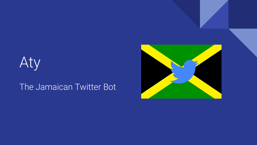# Aty

#### The Jamaican Twitter Bot

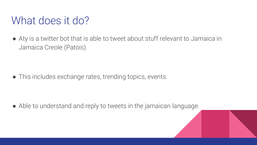### What does it do?

● Aty is a twitter bot that is able to tweet about stuff relevant to Jamaica in Jamaica Creole (Patois).

• This includes exchange rates, trending topics, events.

• Able to understand and reply to tweets in the jamaican language.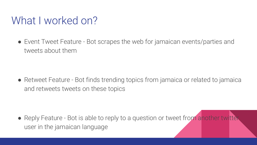#### What I worked on?

● Event Tweet Feature - Bot scrapes the web for jamaican events/parties and tweets about them

● Retweet Feature - Bot finds trending topics from jamaica or related to jamaica and retweets tweets on these topics

• Reply Feature - Bot is able to reply to a question or tweet from another twitter user in the jamaican language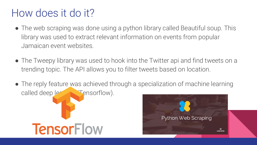#### How does it do it?

- The web scraping was done using a python library called Beautiful soup. This library was used to extract relevant information on events from popular Jamaican event websites.
- The Tweepy library was used to hook into the Twitter api and find tweets on a trending topic. The API allows you to filter tweets based on location.
- The reply feature was achieved through a specialization of machine learning called deep  $\left| \mathbf{e} \right|$   $\left| \mathbf{F} \right|$   $\mathbf{F}$  rensorflow).



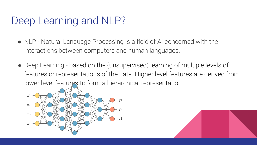#### Deep Learning and NLP?

- NLP Natural Language Processing is a field of AI concerned with the interactions between computers and human languages.
- Deep Learning based on the (unsupervised) learning of multiple levels of features or representations of the data. Higher level features are derived from lower level features to form a hierarchical representation



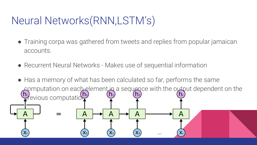## Neural Networks(RNN,LSTM's)

- Training corpa was gathered from tweets and replies from popular jamaican accounts.
- Recurrent Neural Networks Makes use of sequential information

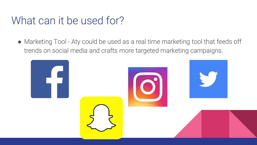### What can it be used for?

● Marketing Tool - Aty could be used as a real time marketing tool that feeds off trends on social media and crafts more targeted marketing campaigns.

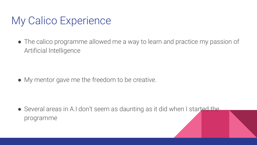### My Calico Experience

• The calico programme allowed me a way to learn and practice my passion of Artificial Intelligence

• My mentor gave me the freedom to be creative.

• Several areas in A.I don't seem as daunting as it did when I started the programme